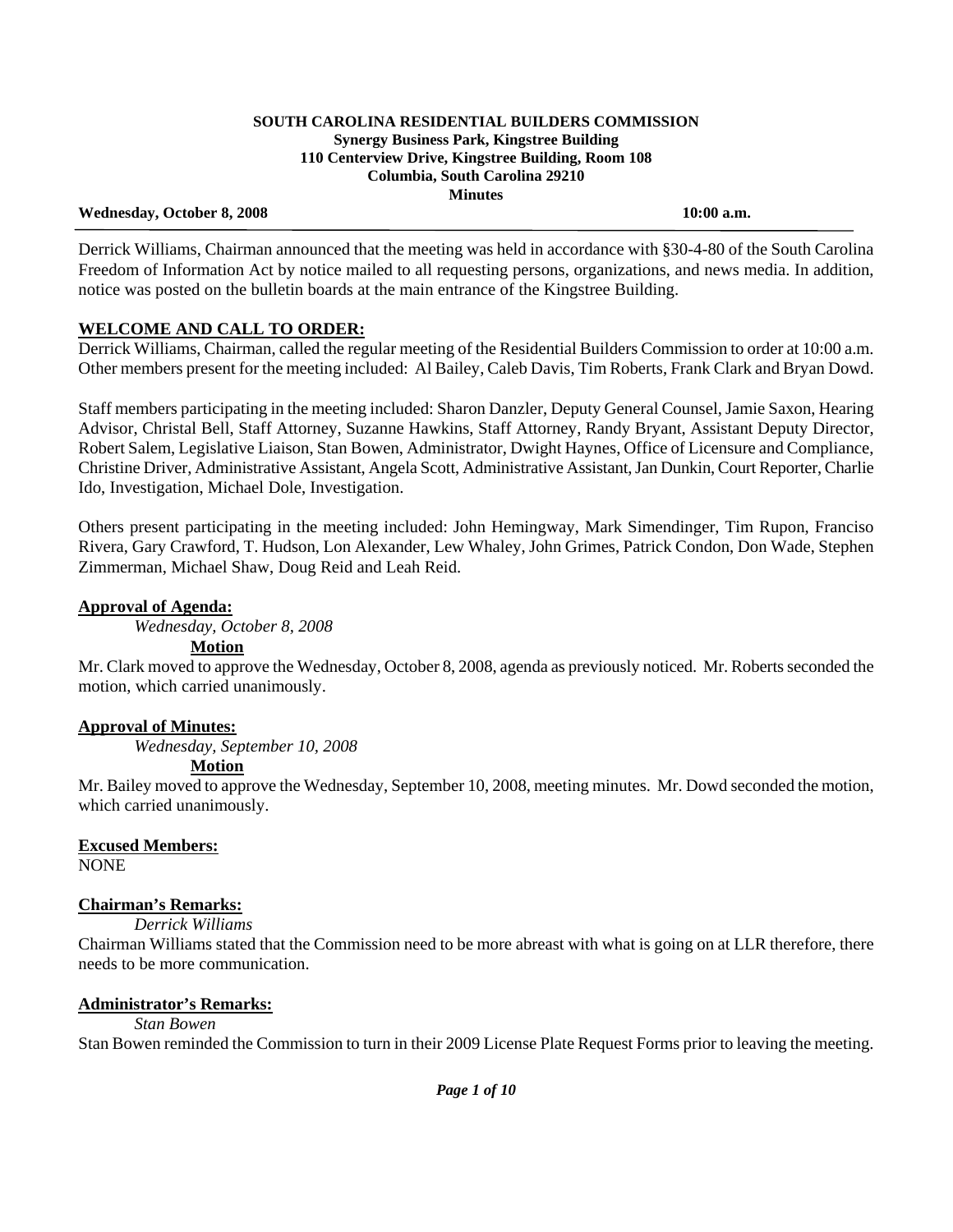### **Wednesday, October 8, 2008 10:00 a.m.**

 Derrick Williams, Chairman announced that the meeting was held in accordance with §30-4-80 of the South Carolina Freedom of Information Act by notice mailed to all requesting persons, organizations, and news media. In addition, notice was posted on the bulletin boards at the main entrance of the Kingstree Building.

# **WELCOME AND CALL TO ORDER:**

Derrick Williams, Chairman, called the regular meeting of the Residential Builders Commission to order at 10:00 a.m. Other members present for the meeting included: Al Bailey, Caleb Davis, Tim Roberts, Frank Clark and Bryan Dowd.

Staff members participating in the meeting included: Sharon Danzler, Deputy General Counsel, Jamie Saxon, Hearing Advisor, Christal Bell, Staff Attorney, Suzanne Hawkins, Staff Attorney, Randy Bryant, Assistant Deputy Director, Robert Salem, Legislative Liaison, Stan Bowen, Administrator, Dwight Haynes, Office of Licensure and Compliance, Christine Driver, Administrative Assistant, Angela Scott, Administrative Assistant, Jan Dunkin, Court Reporter, Charlie Ido, Investigation, Michael Dole, Investigation.

Others present participating in the meeting included: John Hemingway, Mark Simendinger, Tim Rupon, Franciso Rivera, Gary Crawford, T. Hudson, Lon Alexander, Lew Whaley, John Grimes, Patrick Condon, Don Wade, Stephen Zimmerman, Michael Shaw, Doug Reid and Leah Reid.

# **Approval of Agenda:**

*Wednesday, October 8, 2008* 

### **Motion**

Mr. Clark moved to approve the Wednesday, October 8, 2008, agenda as previously noticed. Mr. Roberts seconded the motion, which carried unanimously.

# **Approval of Minutes:**

*Wednesday, September 10, 2008* 

# **Motion**

Mr. Bailey moved to approve the Wednesday, September 10, 2008, meeting minutes. Mr. Dowd seconded the motion, which carried unanimously.

# **Excused Members:**

NONE

# **Chairman's Remarks:**

 *Derrick Williams*

Chairman Williams stated that the Commission need to be more abreast with what is going on at LLR therefore, there needs to be more communication.

# **Administrator's Remarks:**

# *Stan Bowen*

Stan Bowen reminded the Commission to turn in their 2009 License Plate Request Forms prior to leaving the meeting.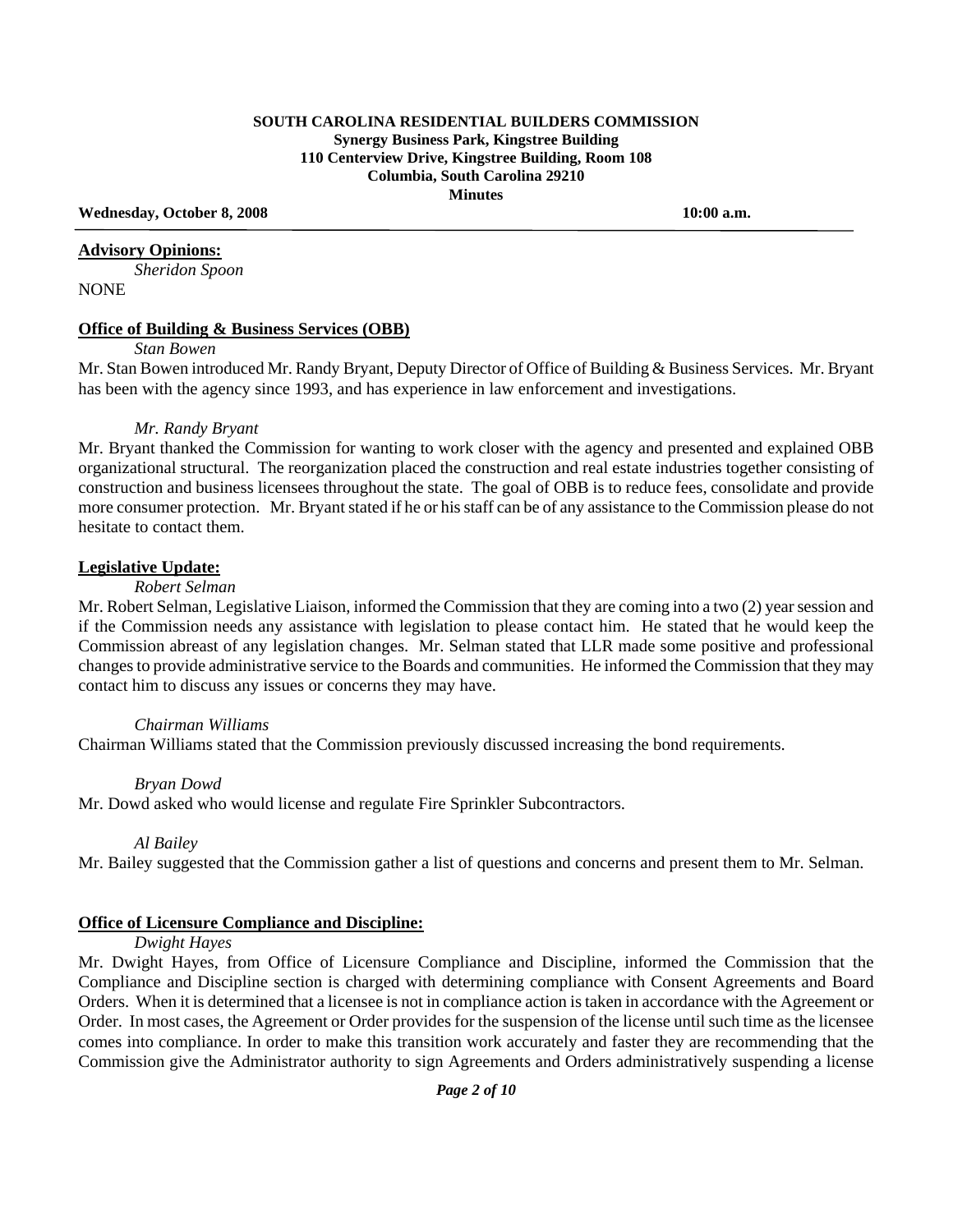**Wednesday, October 8, 2008 10:00 a.m.** 

#### **Advisory Opinions:**

 *Sheridon Spoon* NONE

#### **Office of Building & Business Services (OBB)**

*Stan Bowen* 

Mr. Stan Bowen introduced Mr. Randy Bryant, Deputy Director of Office of Building & Business Services. Mr. Bryant has been with the agency since 1993, and has experience in law enforcement and investigations.

#### *Mr. Randy Bryant*

Mr. Bryant thanked the Commission for wanting to work closer with the agency and presented and explained OBB organizational structural. The reorganization placed the construction and real estate industries together consisting of construction and business licensees throughout the state. The goal of OBB is to reduce fees, consolidate and provide more consumer protection. Mr. Bryant stated if he or his staff can be of any assistance to the Commission please do not hesitate to contact them.

#### **Legislative Update:**

 *Robert Selman* 

Mr. Robert Selman, Legislative Liaison, informed the Commission that they are coming into a two (2) year session and if the Commission needs any assistance with legislation to please contact him. He stated that he would keep the Commission abreast of any legislation changes. Mr. Selman stated that LLR made some positive and professional changes to provide administrative service to the Boards and communities. He informed the Commission that they may contact him to discuss any issues or concerns they may have.

#### *Chairman Williams*

Chairman Williams stated that the Commission previously discussed increasing the bond requirements.

#### *Bryan Dowd*

Mr. Dowd asked who would license and regulate Fire Sprinkler Subcontractors.

#### *Al Bailey*

Mr. Bailey suggested that the Commission gather a list of questions and concerns and present them to Mr. Selman.

### **Office of Licensure Compliance and Discipline:**

#### *Dwight Hayes*

Mr. Dwight Hayes, from Office of Licensure Compliance and Discipline, informed the Commission that the Compliance and Discipline section is charged with determining compliance with Consent Agreements and Board Orders. When it is determined that a licensee is not in compliance action is taken in accordance with the Agreement or Order. In most cases, the Agreement or Order provides for the suspension of the license until such time as the licensee comes into compliance. In order to make this transition work accurately and faster they are recommending that the Commission give the Administrator authority to sign Agreements and Orders administratively suspending a license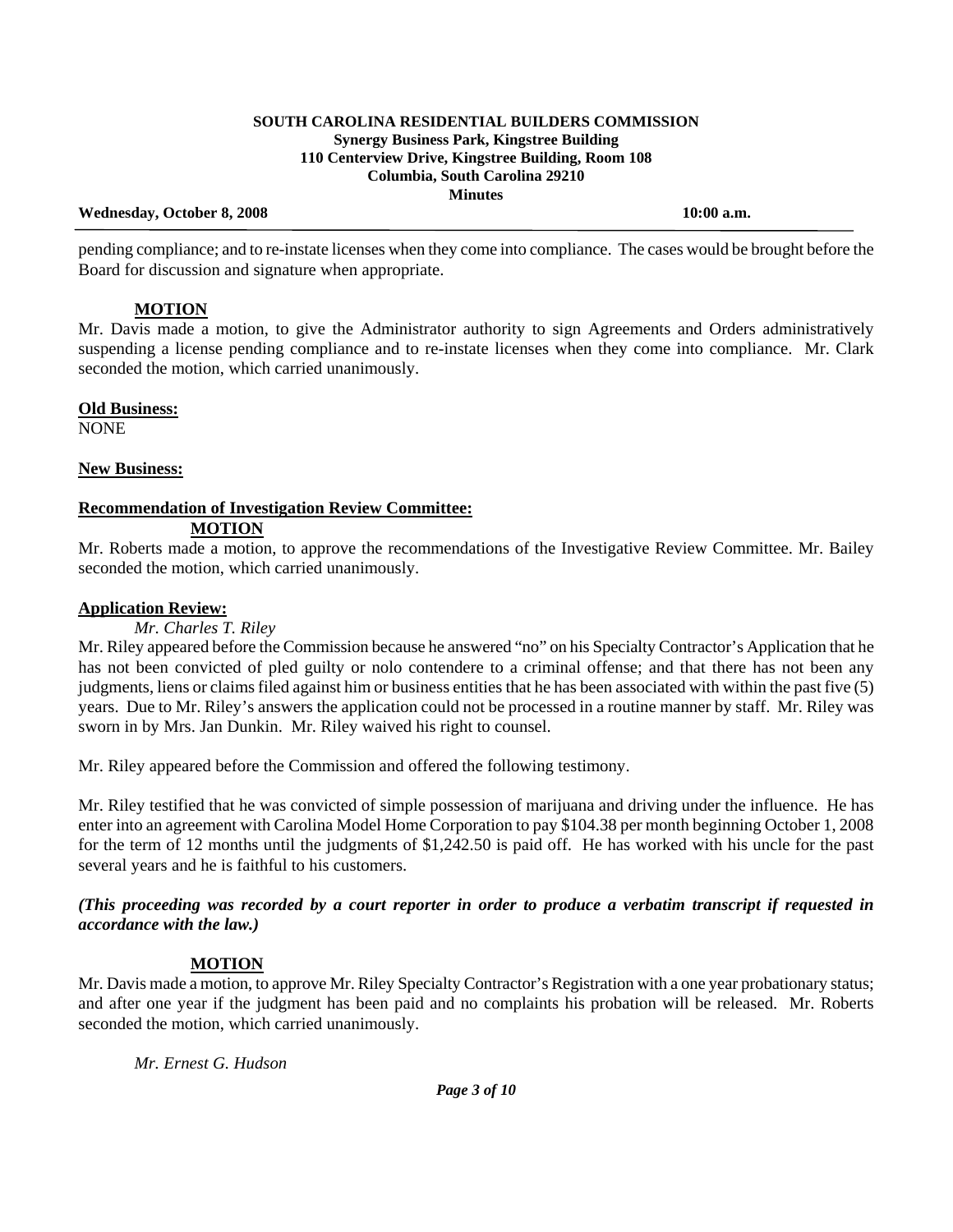### **Wednesday, October 8, 2008 10:00 a.m.**

pending compliance; and to re-instate licenses when they come into compliance. The cases would be brought before the Board for discussion and signature when appropriate.

# **MOTION**

Mr. Davis made a motion, to give the Administrator authority to sign Agreements and Orders administratively suspending a license pending compliance and to re-instate licenses when they come into compliance. Mr. Clark seconded the motion, which carried unanimously.

## **Old Business:**

NONE

## **New Business:**

### **Recommendation of Investigation Review Committee: MOTION**

Mr. Roberts made a motion, to approve the recommendations of the Investigative Review Committee. Mr. Bailey seconded the motion, which carried unanimously.

# **Application Review:**

# *Mr. Charles T. Riley*

Mr. Riley appeared before the Commission because he answered "no" on his Specialty Contractor's Application that he has not been convicted of pled guilty or nolo contendere to a criminal offense; and that there has not been any judgments, liens or claims filed against him or business entities that he has been associated with within the past five (5) years. Due to Mr. Riley's answers the application could not be processed in a routine manner by staff. Mr. Riley was sworn in by Mrs. Jan Dunkin. Mr. Riley waived his right to counsel.

Mr. Riley appeared before the Commission and offered the following testimony.

Mr. Riley testified that he was convicted of simple possession of marijuana and driving under the influence. He has enter into an agreement with Carolina Model Home Corporation to pay \$104.38 per month beginning October 1, 2008 for the term of 12 months until the judgments of \$1,242.50 is paid off. He has worked with his uncle for the past several years and he is faithful to his customers.

## *(This proceeding was recorded by a court reporter in order to produce a verbatim transcript if requested in accordance with the law.)*

# **MOTION**

Mr. Davis made a motion, to approve Mr. Riley Specialty Contractor's Registration with a one year probationary status; and after one year if the judgment has been paid and no complaints his probation will be released. Mr. Roberts seconded the motion, which carried unanimously.

*Mr. Ernest G. Hudson*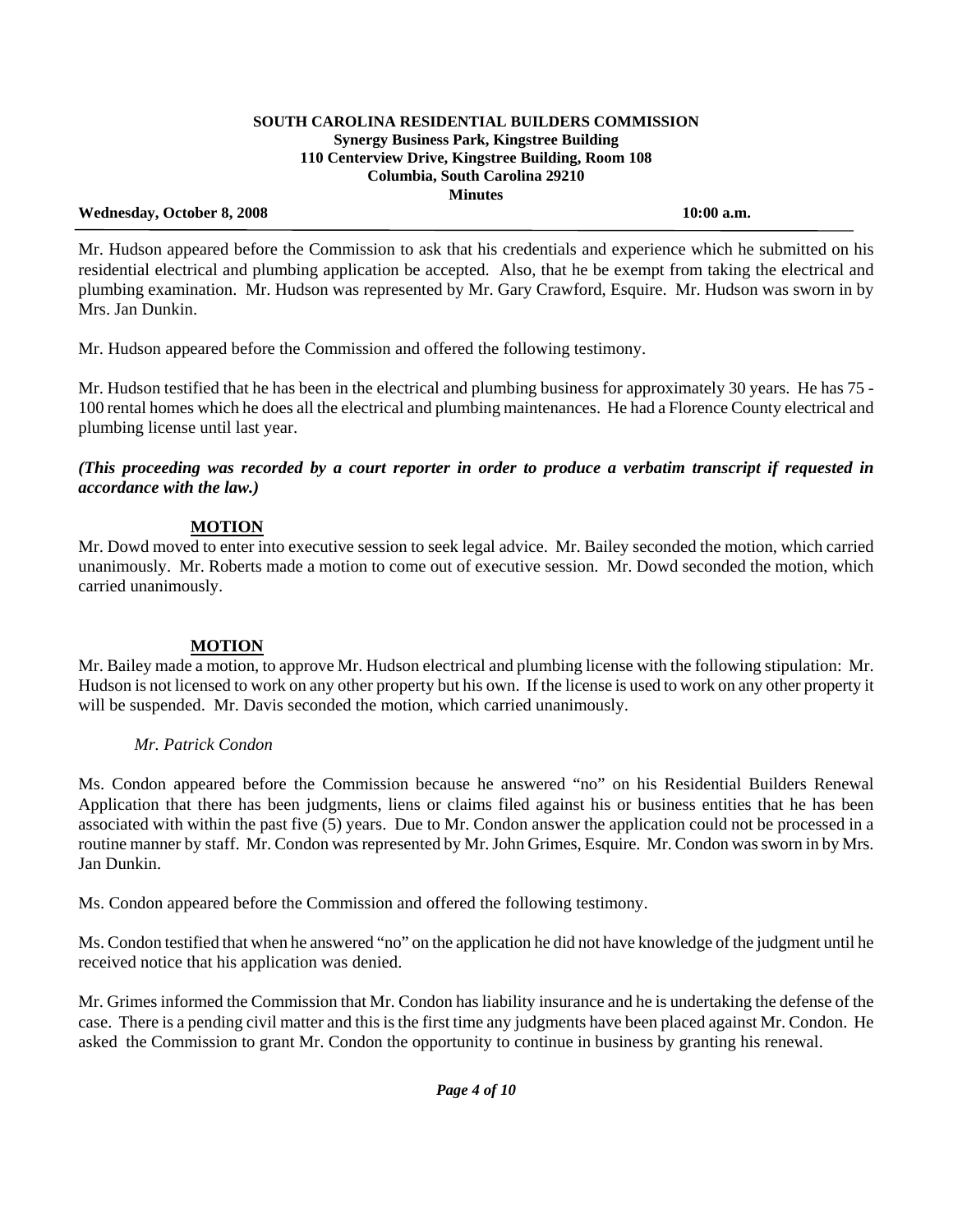#### **Wednesday, October 8, 2008** 10:00 a.m. **10:00 a.m.**

 Mr. Hudson appeared before the Commission to ask that his credentials and experience which he submitted on his residential electrical and plumbing application be accepted. Also, that he be exempt from taking the electrical and plumbing examination. Mr. Hudson was represented by Mr. Gary Crawford, Esquire. Mr. Hudson was sworn in by Mrs. Jan Dunkin.

Mr. Hudson appeared before the Commission and offered the following testimony.

Mr. Hudson testified that he has been in the electrical and plumbing business for approximately 30 years. He has 75 - 100 rental homes which he does all the electrical and plumbing maintenances. He had a Florence County electrical and plumbing license until last year.

*(This proceeding was recorded by a court reporter in order to produce a verbatim transcript if requested in accordance with the law.)* 

# **MOTION**

Mr. Dowd moved to enter into executive session to seek legal advice. Mr. Bailey seconded the motion, which carried unanimously. Mr. Roberts made a motion to come out of executive session. Mr. Dowd seconded the motion, which carried unanimously.

# **MOTION**

Mr. Bailey made a motion, to approve Mr. Hudson electrical and plumbing license with the following stipulation: Mr. Hudson is not licensed to work on any other property but his own. If the license is used to work on any other property it will be suspended. Mr. Davis seconded the motion, which carried unanimously.

# *Mr. Patrick Condon*

Ms. Condon appeared before the Commission because he answered "no" on his Residential Builders Renewal Application that there has been judgments, liens or claims filed against his or business entities that he has been associated with within the past five (5) years. Due to Mr. Condon answer the application could not be processed in a routine manner by staff. Mr. Condon was represented by Mr. John Grimes, Esquire. Mr. Condon was sworn in by Mrs. Jan Dunkin.

Ms. Condon appeared before the Commission and offered the following testimony.

Ms. Condon testified that when he answered "no" on the application he did not have knowledge of the judgment until he received notice that his application was denied.

Mr. Grimes informed the Commission that Mr. Condon has liability insurance and he is undertaking the defense of the case. There is a pending civil matter and this is the first time any judgments have been placed against Mr. Condon. He asked the Commission to grant Mr. Condon the opportunity to continue in business by granting his renewal.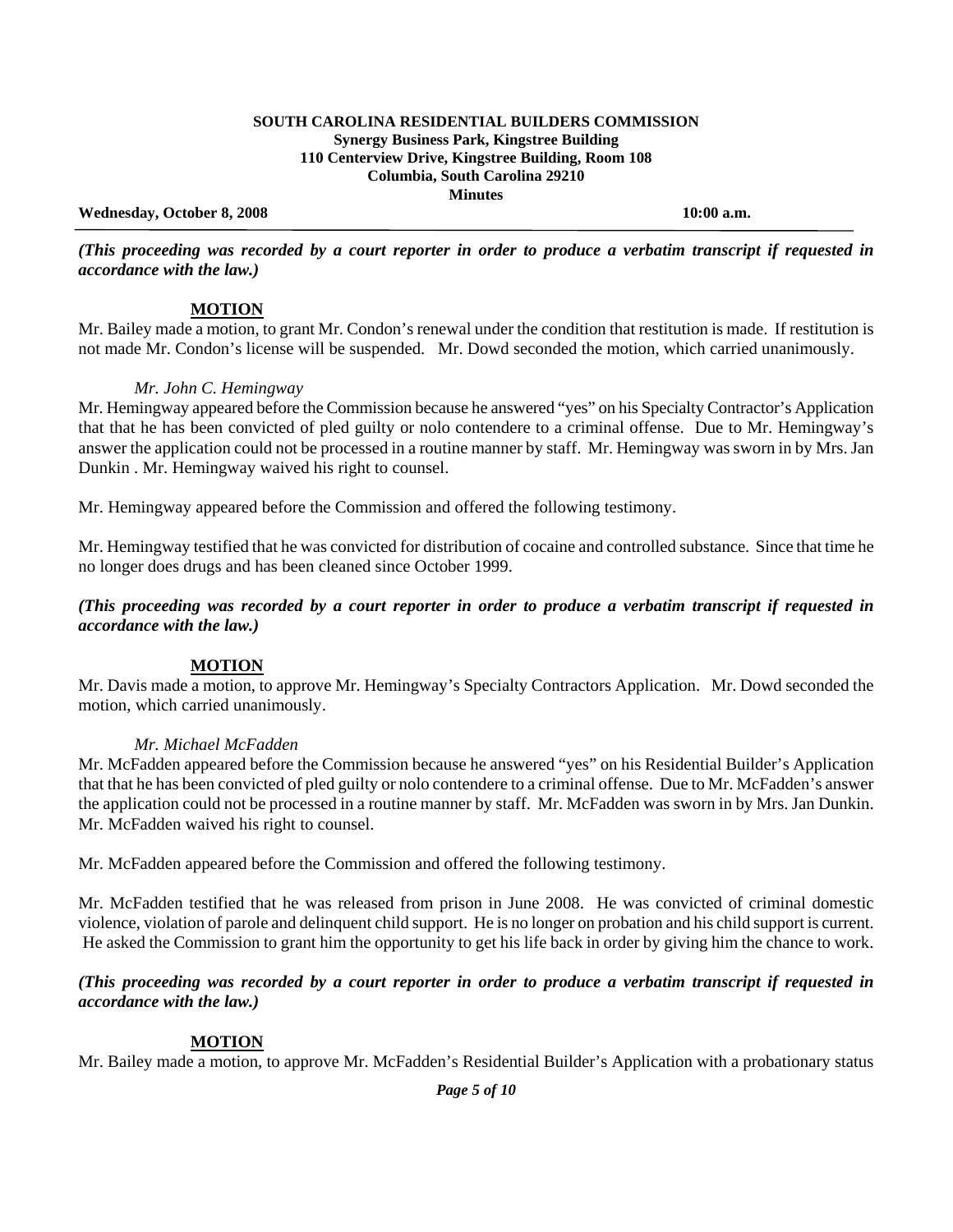#### **Wednesday, October 8, 2008 10:00 a.m.**

*(This proceeding was recorded by a court reporter in order to produce a verbatim transcript if requested in accordance with the law.)* 

## **MOTION**

Mr. Bailey made a motion, to grant Mr. Condon's renewal under the condition that restitution is made. If restitution is not made Mr. Condon's license will be suspended. Mr. Dowd seconded the motion, which carried unanimously.

### *Mr. John C. Hemingway*

Mr. Hemingway appeared before the Commission because he answered "yes" on his Specialty Contractor's Application that that he has been convicted of pled guilty or nolo contendere to a criminal offense. Due to Mr. Hemingway's answer the application could not be processed in a routine manner by staff. Mr. Hemingway was sworn in by Mrs. Jan Dunkin . Mr. Hemingway waived his right to counsel.

Mr. Hemingway appeared before the Commission and offered the following testimony.

Mr. Hemingway testified that he was convicted for distribution of cocaine and controlled substance. Since that time he no longer does drugs and has been cleaned since October 1999.

## *(This proceeding was recorded by a court reporter in order to produce a verbatim transcript if requested in accordance with the law.)*

# **MOTION**

Mr. Davis made a motion, to approve Mr. Hemingway's Specialty Contractors Application. Mr. Dowd seconded the motion, which carried unanimously.

### *Mr. Michael McFadden*

Mr. McFadden appeared before the Commission because he answered "yes" on his Residential Builder's Application that that he has been convicted of pled guilty or nolo contendere to a criminal offense. Due to Mr. McFadden's answer the application could not be processed in a routine manner by staff. Mr. McFadden was sworn in by Mrs. Jan Dunkin. Mr. McFadden waived his right to counsel.

Mr. McFadden appeared before the Commission and offered the following testimony.

Mr. McFadden testified that he was released from prison in June 2008. He was convicted of criminal domestic violence, violation of parole and delinquent child support. He is no longer on probation and his child support is current. He asked the Commission to grant him the opportunity to get his life back in order by giving him the chance to work.

## *(This proceeding was recorded by a court reporter in order to produce a verbatim transcript if requested in accordance with the law.)*

# **MOTION**

Mr. Bailey made a motion, to approve Mr. McFadden's Residential Builder's Application with a probationary status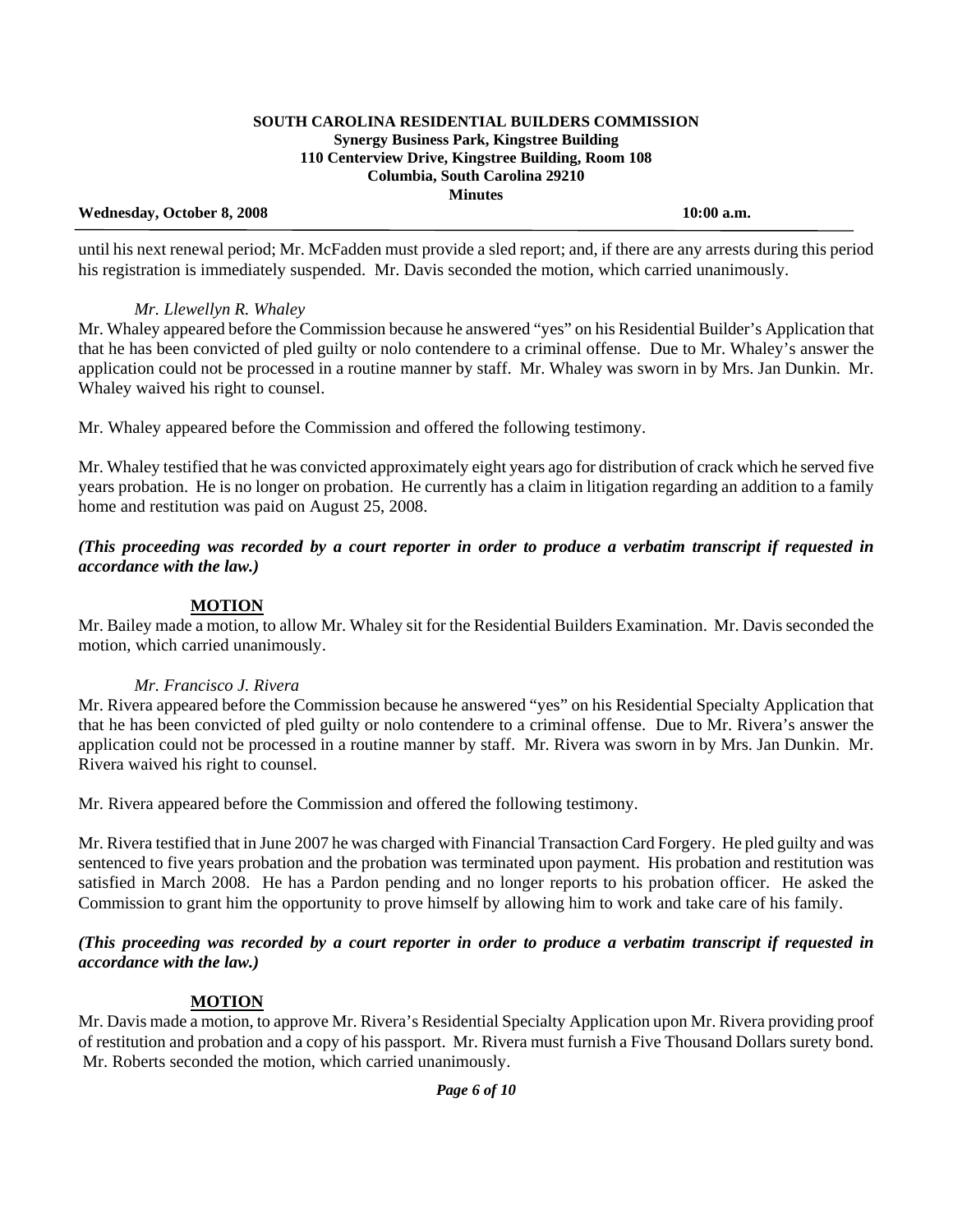#### **Wednesday, October 8, 2008 10:00 a.m.**

until his next renewal period; Mr. McFadden must provide a sled report; and, if there are any arrests during this period his registration is immediately suspended. Mr. Davis seconded the motion, which carried unanimously.

# *Mr. Llewellyn R. Whaley*

Mr. Whaley appeared before the Commission because he answered "yes" on his Residential Builder's Application that that he has been convicted of pled guilty or nolo contendere to a criminal offense. Due to Mr. Whaley's answer the application could not be processed in a routine manner by staff. Mr. Whaley was sworn in by Mrs. Jan Dunkin. Mr. Whaley waived his right to counsel.

Mr. Whaley appeared before the Commission and offered the following testimony.

Mr. Whaley testified that he was convicted approximately eight years ago for distribution of crack which he served five years probation. He is no longer on probation. He currently has a claim in litigation regarding an addition to a family home and restitution was paid on August 25, 2008.

*(This proceeding was recorded by a court reporter in order to produce a verbatim transcript if requested in accordance with the law.)* 

# **MOTION**

Mr. Bailey made a motion, to allow Mr. Whaley sit for the Residential Builders Examination. Mr. Davis seconded the motion, which carried unanimously.

# *Mr. Francisco J. Rivera*

Mr. Rivera appeared before the Commission because he answered "yes" on his Residential Specialty Application that that he has been convicted of pled guilty or nolo contendere to a criminal offense. Due to Mr. Rivera's answer the application could not be processed in a routine manner by staff. Mr. Rivera was sworn in by Mrs. Jan Dunkin. Mr. Rivera waived his right to counsel.

Mr. Rivera appeared before the Commission and offered the following testimony.

Mr. Rivera testified that in June 2007 he was charged with Financial Transaction Card Forgery. He pled guilty and was sentenced to five years probation and the probation was terminated upon payment. His probation and restitution was satisfied in March 2008. He has a Pardon pending and no longer reports to his probation officer. He asked the Commission to grant him the opportunity to prove himself by allowing him to work and take care of his family.

# *(This proceeding was recorded by a court reporter in order to produce a verbatim transcript if requested in accordance with the law.)*

# **MOTION**

Mr. Davis made a motion, to approve Mr. Rivera's Residential Specialty Application upon Mr. Rivera providing proof of restitution and probation and a copy of his passport. Mr. Rivera must furnish a Five Thousand Dollars surety bond. Mr. Roberts seconded the motion, which carried unanimously.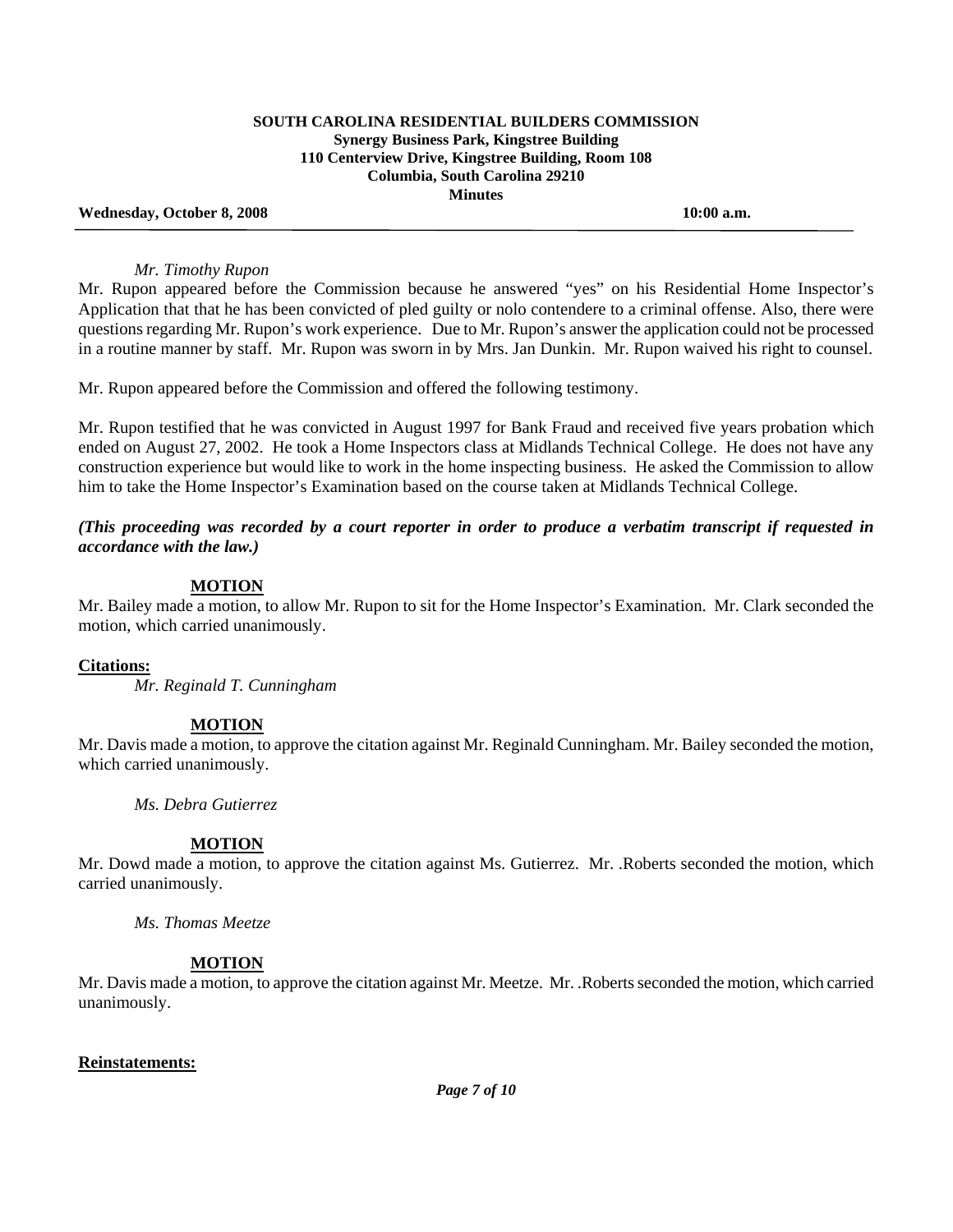**Wednesday, October 8, 2008 10:00 a.m.** 

#### *Mr. Timothy Rupon*

Mr. Rupon appeared before the Commission because he answered "yes" on his Residential Home Inspector's Application that that he has been convicted of pled guilty or nolo contendere to a criminal offense. Also, there were questions regarding Mr. Rupon's work experience. Due to Mr. Rupon's answer the application could not be processed in a routine manner by staff. Mr. Rupon was sworn in by Mrs. Jan Dunkin. Mr. Rupon waived his right to counsel.

Mr. Rupon appeared before the Commission and offered the following testimony.

Mr. Rupon testified that he was convicted in August 1997 for Bank Fraud and received five years probation which ended on August 27, 2002. He took a Home Inspectors class at Midlands Technical College. He does not have any construction experience but would like to work in the home inspecting business. He asked the Commission to allow him to take the Home Inspector's Examination based on the course taken at Midlands Technical College.

*(This proceeding was recorded by a court reporter in order to produce a verbatim transcript if requested in accordance with the law.)* 

## **MOTION**

Mr. Bailey made a motion, to allow Mr. Rupon to sit for the Home Inspector's Examination. Mr. Clark seconded the motion, which carried unanimously.

### **Citations:**

*Mr. Reginald T. Cunningham* 

### **MOTION**

Mr. Davis made a motion, to approve the citation against Mr. Reginald Cunningham. Mr. Bailey seconded the motion, which carried unanimously.

 *Ms. Debra Gutierrez* 

### **MOTION**

Mr. Dowd made a motion, to approve the citation against Ms. Gutierrez. Mr. .Roberts seconded the motion, which carried unanimously.

 *Ms. Thomas Meetze* 

### **MOTION**

Mr. Davis made a motion, to approve the citation against Mr. Meetze. Mr. .Roberts seconded the motion, which carried unanimously.

### **Reinstatements:**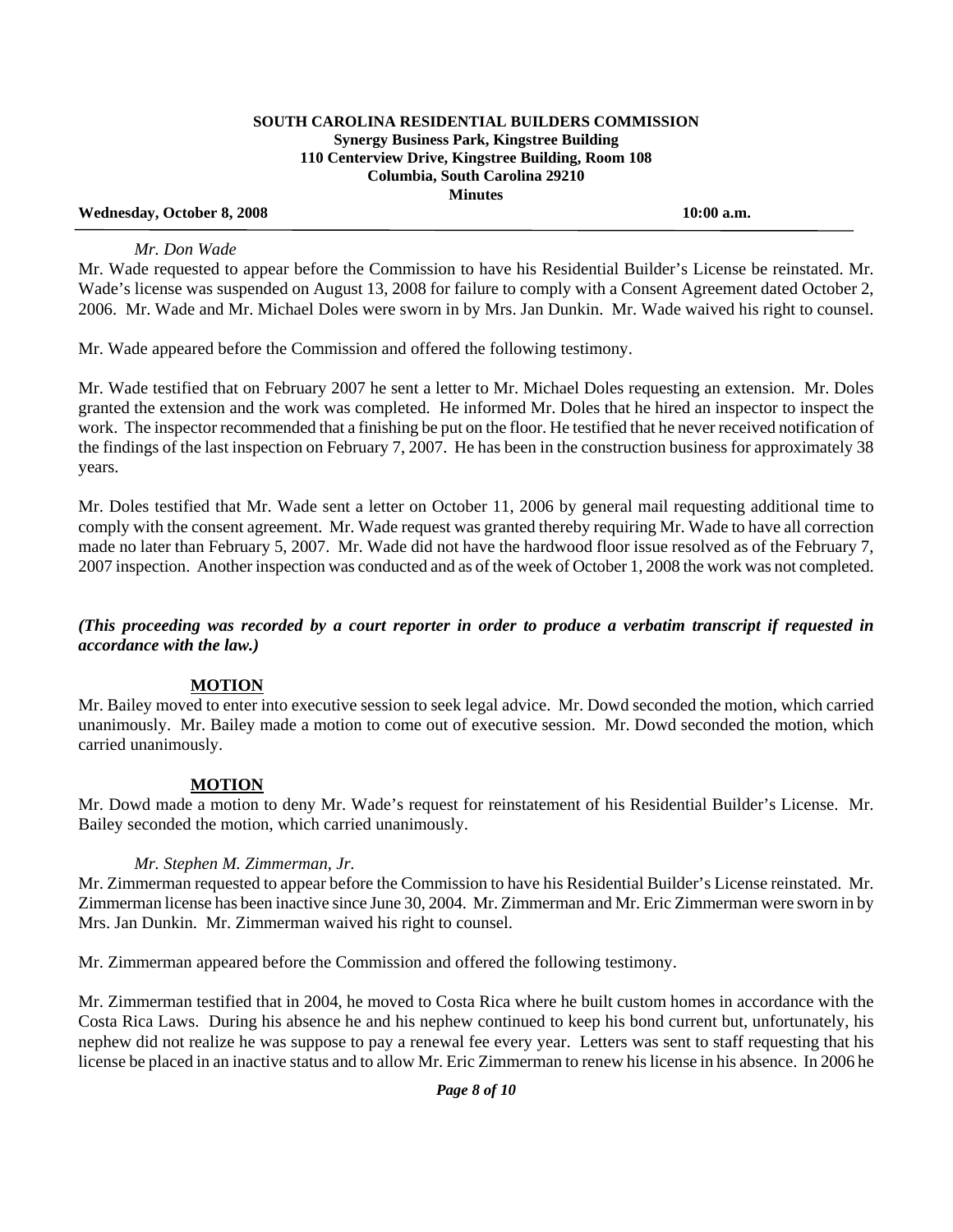#### **Wednesday, October 8, 2008 10:00 a.m.**

#### *Mr. Don Wade*

Mr. Wade requested to appear before the Commission to have his Residential Builder's License be reinstated. Mr. Wade's license was suspended on August 13, 2008 for failure to comply with a Consent Agreement dated October 2, 2006. Mr. Wade and Mr. Michael Doles were sworn in by Mrs. Jan Dunkin. Mr. Wade waived his right to counsel.

Mr. Wade appeared before the Commission and offered the following testimony.

Mr. Wade testified that on February 2007 he sent a letter to Mr. Michael Doles requesting an extension. Mr. Doles granted the extension and the work was completed. He informed Mr. Doles that he hired an inspector to inspect the work. The inspector recommended that a finishing be put on the floor. He testified that he never received notification of the findings of the last inspection on February 7, 2007. He has been in the construction business for approximately 38 years.

Mr. Doles testified that Mr. Wade sent a letter on October 11, 2006 by general mail requesting additional time to comply with the consent agreement. Mr. Wade request was granted thereby requiring Mr. Wade to have all correction made no later than February 5, 2007. Mr. Wade did not have the hardwood floor issue resolved as of the February 7, 2007 inspection. Another inspection was conducted and as of the week of October 1, 2008 the work was not completed.

### *(This proceeding was recorded by a court reporter in order to produce a verbatim transcript if requested in accordance with the law.)*

### **MOTION**

Mr. Bailey moved to enter into executive session to seek legal advice. Mr. Dowd seconded the motion, which carried unanimously. Mr. Bailey made a motion to come out of executive session. Mr. Dowd seconded the motion, which carried unanimously.

### **MOTION**

Mr. Dowd made a motion to deny Mr. Wade's request for reinstatement of his Residential Builder's License. Mr. Bailey seconded the motion, which carried unanimously.

### *Mr. Stephen M. Zimmerman, Jr.*

Mr. Zimmerman requested to appear before the Commission to have his Residential Builder's License reinstated. Mr. Zimmerman license has been inactive since June 30, 2004. Mr. Zimmerman and Mr. Eric Zimmerman were sworn in by Mrs. Jan Dunkin. Mr. Zimmerman waived his right to counsel.

Mr. Zimmerman appeared before the Commission and offered the following testimony.

Mr. Zimmerman testified that in 2004, he moved to Costa Rica where he built custom homes in accordance with the Costa Rica Laws. During his absence he and his nephew continued to keep his bond current but, unfortunately, his nephew did not realize he was suppose to pay a renewal fee every year. Letters was sent to staff requesting that his license be placed in an inactive status and to allow Mr. Eric Zimmerman to renew his license in his absence. In 2006 he

*Page 8 of 10*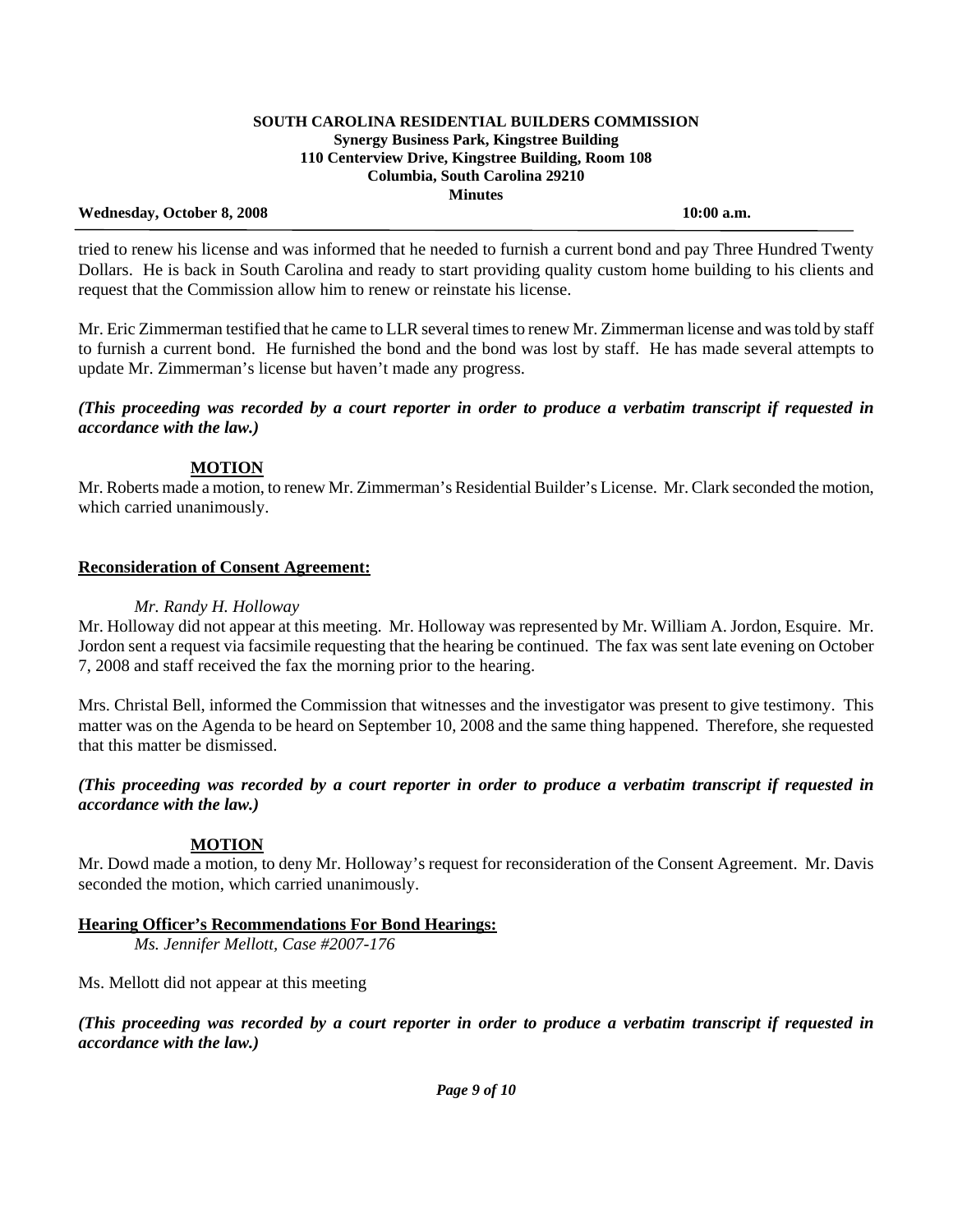#### **Wednesday, October 8, 2008 10:00 a.m.**

 tried to renew his license and was informed that he needed to furnish a current bond and pay Three Hundred Twenty Dollars. He is back in South Carolina and ready to start providing quality custom home building to his clients and request that the Commission allow him to renew or reinstate his license.

Mr. Eric Zimmerman testified that he came to LLR several times to renew Mr. Zimmerman license and was told by staff to furnish a current bond. He furnished the bond and the bond was lost by staff. He has made several attempts to update Mr. Zimmerman's license but haven't made any progress.

# *(This proceeding was recorded by a court reporter in order to produce a verbatim transcript if requested in accordance with the law.)*

# **MOTION**

Mr. Roberts made a motion, to renew Mr. Zimmerman's Residential Builder's License. Mr. Clark seconded the motion, which carried unanimously.

# **Reconsideration of Consent Agreement:**

## *Mr. Randy H. Holloway*

Mr. Holloway did not appear at this meeting. Mr. Holloway was represented by Mr. William A. Jordon, Esquire. Mr. Jordon sent a request via facsimile requesting that the hearing be continued. The fax was sent late evening on October 7, 2008 and staff received the fax the morning prior to the hearing.

Mrs. Christal Bell, informed the Commission that witnesses and the investigator was present to give testimony. This matter was on the Agenda to be heard on September 10, 2008 and the same thing happened. Therefore, she requested that this matter be dismissed.

## *(This proceeding was recorded by a court reporter in order to produce a verbatim transcript if requested in accordance with the law.)*

# **MOTION**

Mr. Dowd made a motion, to deny Mr. Holloway's request for reconsideration of the Consent Agreement. Mr. Davis seconded the motion, which carried unanimously.

# **Hearing Officer's Recommendations For Bond Hearings:**

 *Ms. Jennifer Mellott, Case #2007-176* 

Ms. Mellott did not appear at this meeting

*(This proceeding was recorded by a court reporter in order to produce a verbatim transcript if requested in accordance with the law.)*